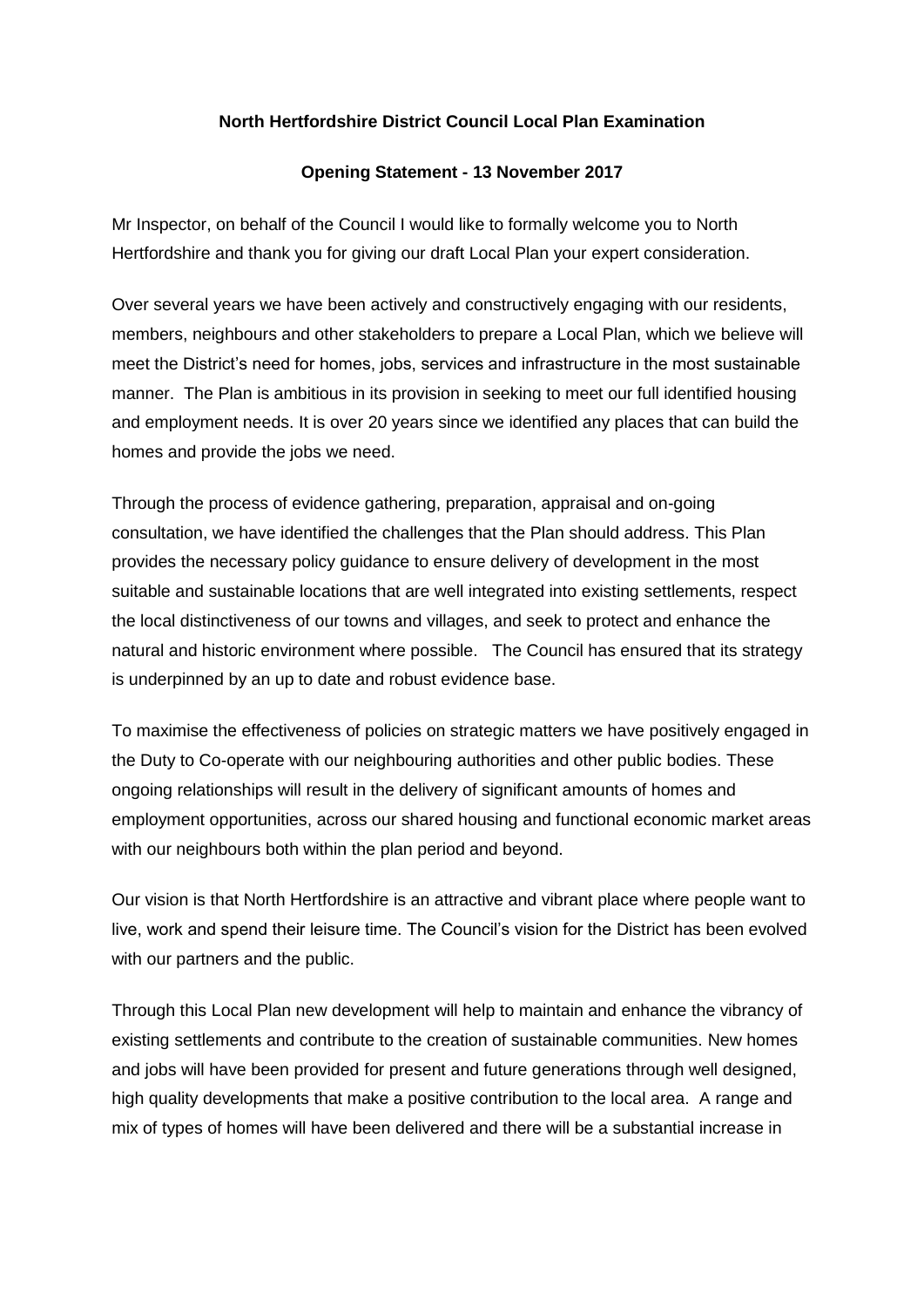## **North Hertfordshire District Council Local Plan Examination**

## **Opening Statement - 13 November 2017**

Mr Inspector, on behalf of the Council I would like to formally welcome you to North Hertfordshire and thank you for giving our draft Local Plan your expert consideration.

Over several years we have been actively and constructively engaging with our residents, members, neighbours and other stakeholders to prepare a Local Plan, which we believe will meet the District's need for homes, jobs, services and infrastructure in the most sustainable manner. The Plan is ambitious in its provision in seeking to meet our full identified housing and employment needs. It is over 20 years since we identified any places that can build the homes and provide the jobs we need.

Through the process of evidence gathering, preparation, appraisal and on-going consultation, we have identified the challenges that the Plan should address. This Plan provides the necessary policy guidance to ensure delivery of development in the most suitable and sustainable locations that are well integrated into existing settlements, respect the local distinctiveness of our towns and villages, and seek to protect and enhance the natural and historic environment where possible. The Council has ensured that its strategy is underpinned by an up to date and robust evidence base.

To maximise the effectiveness of policies on strategic matters we have positively engaged in the Duty to Co-operate with our neighbouring authorities and other public bodies. These ongoing relationships will result in the delivery of significant amounts of homes and employment opportunities, across our shared housing and functional economic market areas with our neighbours both within the plan period and beyond.

Our vision is that North Hertfordshire is an attractive and vibrant place where people want to live, work and spend their leisure time. The Council's vision for the District has been evolved with our partners and the public.

Through this Local Plan new development will help to maintain and enhance the vibrancy of existing settlements and contribute to the creation of sustainable communities. New homes and jobs will have been provided for present and future generations through well designed, high quality developments that make a positive contribution to the local area. A range and mix of types of homes will have been delivered and there will be a substantial increase in